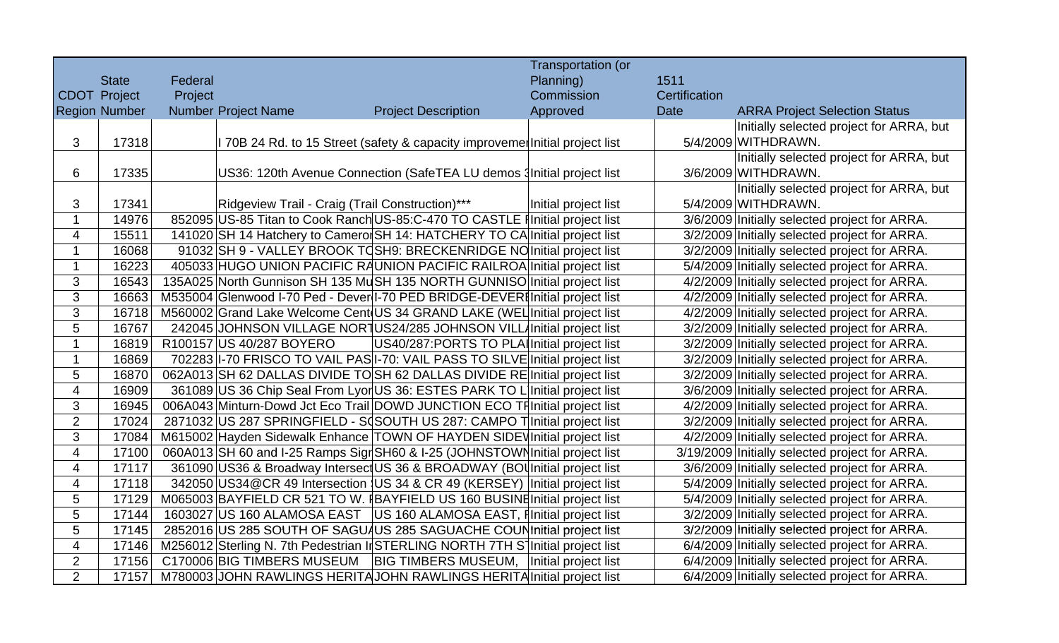|                          |                      |                            |                                                                                 | Transportation (or   |      |               |                                                |
|--------------------------|----------------------|----------------------------|---------------------------------------------------------------------------------|----------------------|------|---------------|------------------------------------------------|
|                          | <b>State</b>         | Federal                    |                                                                                 | Planning)            | 1511 |               |                                                |
|                          | <b>CDOT Project</b>  | Project                    |                                                                                 | Commission           |      | Certification |                                                |
|                          | <b>Region Number</b> | <b>Number Project Name</b> | <b>Project Description</b>                                                      | Approved             | Date |               | <b>ARRA Project Selection Status</b>           |
|                          |                      |                            |                                                                                 |                      |      |               | Initially selected project for ARRA, but       |
| 3                        | 17318                |                            | I 70B 24 Rd. to 15 Street (safety & capacity improveme Initial project list     |                      |      |               | 5/4/2009 WITHDRAWN.                            |
|                          |                      |                            |                                                                                 |                      |      |               | Initially selected project for ARRA, but       |
| 6                        | 17335                |                            | US36: 120th Avenue Connection (SafeTEA LU demos Initial project list            |                      |      |               | 3/6/2009 WITHDRAWN.                            |
|                          |                      |                            |                                                                                 |                      |      |               | Initially selected project for ARRA, but       |
| 3                        | 17341                |                            | Ridgeview Trail - Craig (Trail Construction)***                                 | Initial project list |      |               | 5/4/2009 WITHDRAWN.                            |
| $\mathbf 1$              | 14976                |                            | 852095 US-85 Titan to Cook Ranch US-85:C-470 TO CASTLE Initial project list     |                      |      |               | 3/6/2009 Initially selected project for ARRA.  |
| $\overline{\mathcal{A}}$ | 15511                |                            | 141020 SH 14 Hatchery to Camerol SH 14: HATCHERY TO CA Initial project list     |                      |      |               | 3/2/2009 Initially selected project for ARRA.  |
| $\mathbf{1}$             | 16068                |                            | 91032 SH 9 - VALLEY BROOK TO SH9: BRECKENRIDGE NO Initial project list          |                      |      |               | 3/2/2009 Initially selected project for ARRA.  |
| $\mathbf 1$              | 16223                |                            | 405033 HUGO UNION PACIFIC RAUNION PACIFIC RAILROA Initial project list          |                      |      |               | 5/4/2009 Initially selected project for ARRA.  |
| 3                        | 16543                |                            | 135A025 North Gunnison SH 135 MuSH 135 NORTH GUNNISO Initial project list       |                      |      |               | 4/2/2009 Initially selected project for ARRA.  |
| 3                        | 16663                |                            | M535004 Glenwood I-70 Ped - Dever I-70 PED BRIDGE-DEVER Initial project list    |                      |      |               | 4/2/2009 Initially selected project for ARRA.  |
| 3                        | 16718                |                            | M560002 Grand Lake Welcome Cent US 34 GRAND LAKE (WEL Initial project list      |                      |      |               | 4/2/2009 Initially selected project for ARRA.  |
| 5                        | 16767                |                            | 242045 JOHNSON VILLAGE NORTUS24/285 JOHNSON VILL/Initial project list           |                      |      |               | 3/2/2009 Initially selected project for ARRA.  |
| $\mathbf{1}$             | 16819                | R100157 US 40/287 BOYERO   | US40/287: PORTS TO PLA Initial project list                                     |                      |      |               | 3/2/2009 Initially selected project for ARRA.  |
| $\mathbf{1}$             | 16869                |                            | 702283 I-70 FRISCO TO VAIL PAS I-70: VAIL PASS TO SILVE Initial project list    |                      |      |               | 3/2/2009 Initially selected project for ARRA.  |
| 5                        | 16870                |                            | 062A013 SH 62 DALLAS DIVIDE TO SH 62 DALLAS DIVIDE RE Initial project list      |                      |      |               | 3/2/2009 Initially selected project for ARRA.  |
| $\overline{\mathbf{4}}$  | 16909                |                            | 361089 US 36 Chip Seal From Lyor US 36: ESTES PARK TO L Initial project list    |                      |      |               | 3/6/2009 Initially selected project for ARRA.  |
| 3                        | 16945                |                            | 006A043 Minturn-Dowd Jct Eco Trail DOWD JUNCTION ECO TF Initial project list    |                      |      |               | 4/2/2009 Initially selected project for ARRA.  |
| $\overline{2}$           | 17024                |                            | 2871032 US 287 SPRINGFIELD - S(SOUTH US 287: CAMPO T Initial project list       |                      |      |               | 3/2/2009 Initially selected project for ARRA.  |
| 3                        | 17084                |                            | M615002 Hayden Sidewalk Enhance TOWN OF HAYDEN SIDEV Initial project list       |                      |      |               | 4/2/2009 Initially selected project for ARRA.  |
| $\overline{\mathbf{4}}$  | 17100                |                            | 060A013 SH 60 and I-25 Ramps Sigr SH60 & I-25 (JOHNSTOWN Initial project list   |                      |      |               | 3/19/2009 Initially selected project for ARRA. |
| $\overline{4}$           | 17117                |                            | 361090 US36 & Broadway Intersect US 36 & BROADWAY (BOI Initial project list     |                      |      |               | 3/6/2009 Initially selected project for ARRA.  |
| $\overline{\mathbf{4}}$  | 17118                |                            | 342050 US34 @ CR 49 Intersection US 34 & CR 49 (KERSEY) Initial project list    |                      |      |               | 5/4/2009 Initially selected project for ARRA.  |
| 5                        | 17129                |                            | M065003 BAYFIELD CR 521 TO W. IBAYFIELD US 160 BUSINE Initial project list      |                      |      |               | 5/4/2009 Initially selected project for ARRA.  |
| 5                        | 17144                |                            | 1603027 US 160 ALAMOSA EAST   US 160 ALAMOSA EAST, Finitial project list        |                      |      |               | 3/2/2009 Initially selected project for ARRA.  |
| 5                        | 17145                |                            | 2852016 US 285 SOUTH OF SAGU/US 285 SAGUACHE COUN Initial project list          |                      |      |               | 3/2/2009 Initially selected project for ARRA.  |
| $\overline{4}$           | 17146                |                            | M256012 Sterling N. 7th Pedestrian In STERLING NORTH 7TH S Initial project list |                      |      |               | 6/4/2009 Initially selected project for ARRA.  |
| $\overline{2}$           | 17156                | C170006 BIG TIMBERS MUSEUM | BIG TIMBERS MUSEUM, Initial project list                                        |                      |      |               | 6/4/2009 Initially selected project for ARRA.  |
| $\overline{2}$           | 17157                |                            | M780003 JOHN RAWLINGS HERITA JOHN RAWLINGS HERITA Initial project list          |                      |      |               | 6/4/2009 Initially selected project for ARRA.  |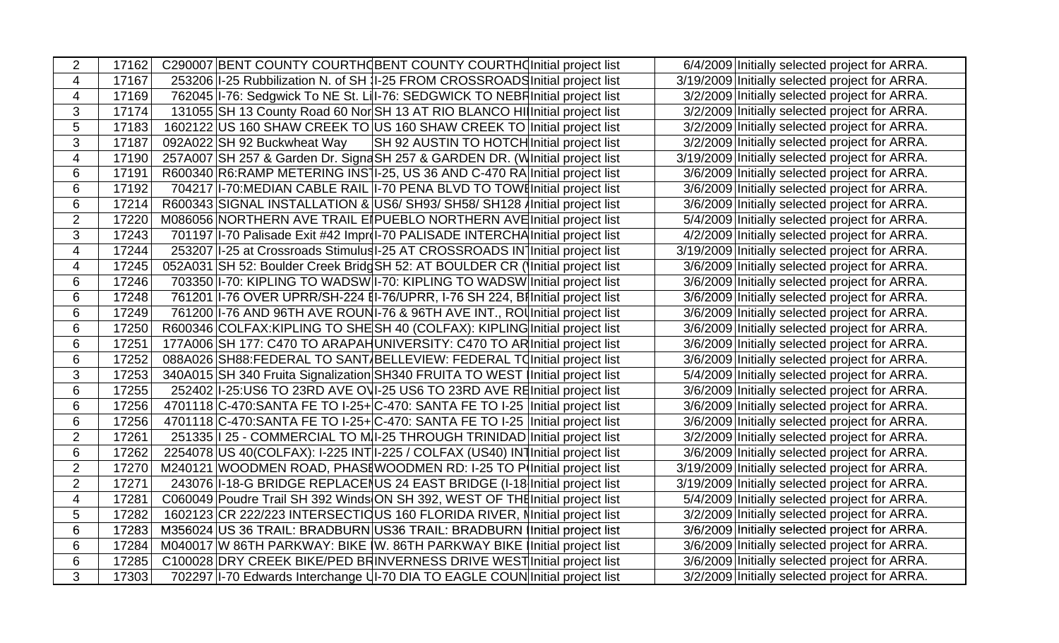| $\overline{2}$  | C290007 BENT COUNTY COURTHOBENT COUNTY COURTHONITIAL project list<br>17162                | 6/4/2009 Initially selected project for ARRA.  |
|-----------------|-------------------------------------------------------------------------------------------|------------------------------------------------|
| $\overline{4}$  | 253206 1-25 Rubbilization N. of SH 1-25 FROM CROSSROADS Initial project list<br>17167     | 3/19/2009 Initially selected project for ARRA. |
| $\overline{4}$  | 762045 I-76: Sedgwick To NE St. Lil-76: SEDGWICK TO NEBF Initial project list<br>17169    | 3/2/2009 Initially selected project for ARRA.  |
| 3               | 131055 SH 13 County Road 60 Nor SH 13 AT RIO BLANCO HI Initial project list<br>17174      | 3/2/2009 Initially selected project for ARRA.  |
| 5               | 1602122 US 160 SHAW CREEK TO US 160 SHAW CREEK TO Initial project list<br>17183           | 3/2/2009 Initially selected project for ARRA.  |
| 3               | 092A022 SH 92 Buckwheat Way<br>SH 92 AUSTIN TO HOTCH Initial project list<br>17187        | 3/2/2009 Initially selected project for ARRA.  |
| $\overline{4}$  | 17190<br>257A007 SH 257 & Garden Dr. Signa SH 257 & GARDEN DR. (Winitial project list     | 3/19/2009 Initially selected project for ARRA. |
| 6               | 17191<br>R600340 R6:RAMP METERING INS 1-25, US 36 AND C-470 RA Initial project list       | 3/6/2009 Initially selected project for ARRA.  |
| 6               | 17192<br>704217 I-70: MEDIAN CABLE RAIL I-70 PENA BLVD TO TOWE Initial project list       | 3/6/2009 Initially selected project for ARRA.  |
| 6               | R600343 SIGNAL INSTALLATION & US6/ SH93/ SH58/ SH128 / Initial project list<br>17214      | 3/6/2009 Initially selected project for ARRA.  |
| $\overline{2}$  | M086056 NORTHERN AVE TRAIL EIPUEBLO NORTHERN AVEInitial project list<br>17220             | 5/4/2009 Initially selected project for ARRA.  |
| 3               | 701197   I-70 Palisade Exit #42 Improl-70 PALISADE INTERCHA Initial project list<br>17243 | 4/2/2009 Initially selected project for ARRA.  |
| $\overline{4}$  | 17244<br>253207 1-25 at Crossroads Stimulus 1-25 AT CROSSROADS IN Initial project list    | 3/19/2009 Initially selected project for ARRA. |
| 4               | 052A031 SH 52: Boulder Creek Bridg SH 52: AT BOULDER CR (Initial project list<br>17245    | 3/6/2009 Initially selected project for ARRA.  |
| 6               | 703350 I-70: KIPLING TO WADSW I-70: KIPLING TO WADSW Initial project list<br>17246        | 3/6/2009 Initially selected project for ARRA.  |
| $6\phantom{1}6$ | 761201 I-76 OVER UPRR/SH-224 [I-76/UPRR, I-76 SH 224, Billnitial project list<br>17248    | 3/6/2009 Initially selected project for ARRA.  |
| 6               | 17249<br>761200 I-76 AND 96TH AVE ROUNI-76 & 96TH AVE INT., ROU Initial project list      | 3/6/2009 Initially selected project for ARRA.  |
| $6\phantom{1}$  | R600346 COLFAX: KIPLING TO SHE SH 40 (COLFAX): KIPLING Initial project list<br>17250      | 3/6/2009 Initially selected project for ARRA.  |
| 6               | 17251<br>177A006 SH 177: C470 TO ARAPAH UNIVERSITY: C470 TO AR Initial project list       | 3/6/2009 Initially selected project for ARRA.  |
| 6               | 088A026 SH88: FEDERAL TO SANT BELLEVIEW: FEDERAL TO Initial project list<br>17252         | 3/6/2009 Initially selected project for ARRA.  |
| 3               | 340A015 SH 340 Fruita Signalization SH340 FRUITA TO WEST Initial project list<br>17253    | 5/4/2009 Initially selected project for ARRA.  |
| 6               | 252402 -25:US6 TO 23RD AVE OVI-25 US6 TO 23RD AVE RElnitial project list<br>17255         | 3/6/2009 Initially selected project for ARRA.  |
| 6               | 17256<br>4701118 C-470: SANTA FE TO I-25+ C-470: SANTA FE TO I-25   Initial project list  | 3/6/2009 Initially selected project for ARRA.  |
| $6\phantom{1}6$ | 4701118 C-470: SANTA FE TO I-25+ C-470: SANTA FE TO I-25 Initial project list<br>17256    | 3/6/2009 Initially selected project for ARRA.  |
| $\overline{2}$  | 251335   25 - COMMERCIAL TO M I-25 THROUGH TRINIDAD Initial project list<br>17261         | 3/2/2009 Initially selected project for ARRA.  |
| $6\phantom{1}$  | 2254078 US 40(COLFAX): I-225 INT I-225 / COLFAX (US40) INTI nitial project list<br>17262  | 3/6/2009 Initially selected project for ARRA.  |
| $\overline{2}$  | M240121 WOODMEN ROAD, PHASE WOODMEN RD: I-25 TO P(Initial project list)<br>17270          | 3/19/2009 Initially selected project for ARRA. |
| $\overline{2}$  | 17271<br>243076 1-18-G BRIDGE REPLACENUS 24 EAST BRIDGE (I-18 Initial project list        | 3/19/2009 Initially selected project for ARRA. |
| $\overline{4}$  | C060049 Poudre Trail SH 392 Winds ON SH 392, WEST OF THE Initial project list<br>17281    | 5/4/2009 Initially selected project for ARRA.  |
| 5               | 1602123 CR 222/223 INTERSECTIC US 160 FLORIDA RIVER, Minitial project list<br>17282       | 3/2/2009 Initially selected project for ARRA.  |
| $6\phantom{1}6$ | M356024 US 36 TRAIL: BRADBURN US36 TRAIL: BRADBURN Initial project list<br>17283          | 3/6/2009 Initially selected project for ARRA.  |
| 6               | M040017 W 86TH PARKWAY: BIKE W. 86TH PARKWAY BIKE Initial project list<br>17284           | 3/6/2009 Initially selected project for ARRA.  |
| 6               | C100028 DRY CREEK BIKE/PED BRINVERNESS DRIVE WEST Initial project list<br>17285           | 3/6/2009 Initially selected project for ARRA.  |
| 3               | 702297 I-70 Edwards Interchange UI-70 DIA TO EAGLE COUN Initial project list<br>17303     | 3/2/2009 Initially selected project for ARRA.  |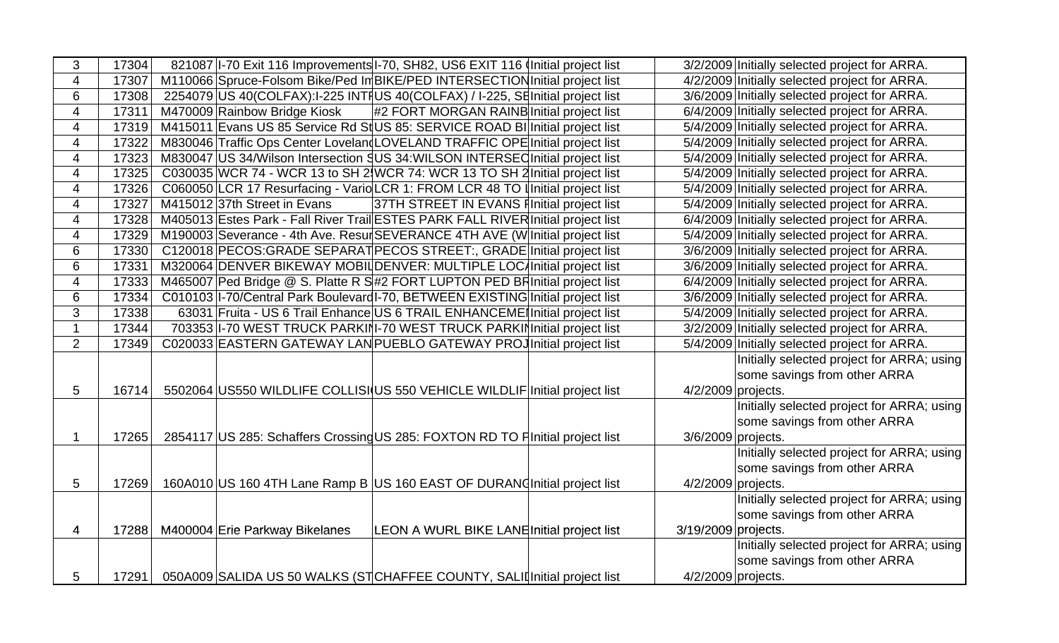| 3                        | 17304 | 821087 I-70 Exit 116 Improvements I-70, SH82, US6 EXIT 116 Initial project list  | 3/2/2009 Initially selected project for ARRA. |
|--------------------------|-------|----------------------------------------------------------------------------------|-----------------------------------------------|
| $\overline{4}$           | 17307 | M110066 Spruce-Folsom Bike/Ped In BIKE/PED INTERSECTION Initial project list     | 4/2/2009 Initially selected project for ARRA. |
| 6                        | 17308 | 2254079 US 40(COLFAX):I-225 INTI US 40(COLFAX) / I-225, SE Initial project list  | 3/6/2009 Initially selected project for ARRA. |
| $\overline{\mathcal{A}}$ | 17311 | #2 FORT MORGAN RAINB Initial project list<br>M470009 Rainbow Bridge Kiosk        | 6/4/2009 Initially selected project for ARRA. |
| $\overline{\mathcal{A}}$ | 17319 | M415011 Evans US 85 Service Rd St US 85: SERVICE ROAD BI Initial project list    | 5/4/2009 Initially selected project for ARRA. |
| $\overline{\mathbf{4}}$  | 17322 | M830046 Traffic Ops Center Loveland LOVELAND TRAFFIC OPE Initial project list    | 5/4/2009 Initially selected project for ARRA. |
| $\overline{4}$           | 17323 | M830047 US 34/Wilson Intersection SUS 34:WILSON INTERSEC Initial project list    | 5/4/2009 Initially selected project for ARRA. |
| 4                        | 17325 | C030035 WCR 74 - WCR 13 to SH 2 WCR 74: WCR 13 TO SH 2 Initial project list      | 5/4/2009 Initially selected project for ARRA. |
| $\overline{4}$           | 17326 | C060050 LCR 17 Resurfacing - Vario LCR 1: FROM LCR 48 TO I Initial project list  | 5/4/2009 Initially selected project for ARRA. |
| $\overline{\mathcal{A}}$ | 17327 | 37TH STREET IN EVANS FInitial project list<br>M415012 37th Street in Evans       | 5/4/2009 Initially selected project for ARRA. |
| $\overline{\mathcal{A}}$ | 17328 | M405013 Estes Park - Fall River Trail ESTES PARK FALL RIVER Initial project list | 6/4/2009 Initially selected project for ARRA. |
| $\overline{4}$           | 17329 | M190003 Severance - 4th Ave. Resur SEVERANCE 4TH AVE (W Initial project list     | 5/4/2009 Initially selected project for ARRA. |
| 6                        | 17330 | C120018 PECOS: GRADE SEPARAT PECOS STREET:, GRADE Initial project list           | 3/6/2009 Initially selected project for ARRA. |
| 6                        | 17331 | M320064 DENVER BIKEWAY MOBIL DENVER: MULTIPLE LOC Initial project list           | 3/6/2009 Initially selected project for ARRA. |
| $\overline{\mathbf{4}}$  | 17333 | M465007 Ped Bridge @ S. Platte R S#2 FORT LUPTON PED BRI nitial project list     | 6/4/2009 Initially selected project for ARRA. |
| 6                        | 17334 | C010103 I-70/Central Park Boulevard I-70, BETWEEN EXISTING Initial project list  | 3/6/2009 Initially selected project for ARRA. |
| 3                        | 17338 | 63031 Fruita - US 6 Trail Enhance US 6 TRAIL ENHANCEME Initial project list      | 5/4/2009 Initially selected project for ARRA. |
| $\mathbf{1}$             | 17344 | 703353 I-70 WEST TRUCK PARKINI-70 WEST TRUCK PARKIN Initial project list         | 3/2/2009 Initially selected project for ARRA. |
| $\overline{2}$           | 17349 | C020033 EASTERN GATEWAY LAN PUEBLO GATEWAY PROJ Initial project list             | 5/4/2009 Initially selected project for ARRA. |
|                          |       |                                                                                  | Initially selected project for ARRA; using    |
|                          |       |                                                                                  | some savings from other ARRA                  |
| 5                        | 16714 | 5502064 US550 WILDLIFE COLLISI US 550 VEHICLE WILDLIF Initial project list       | $4/2/2009$ projects.                          |
|                          |       |                                                                                  | Initially selected project for ARRA; using    |
|                          |       |                                                                                  | some savings from other ARRA                  |
| $\mathbf 1$              | 17265 | 2854117 US 285: Schaffers Crossing US 285: FOXTON RD TO FInitial project list    | 3/6/2009 projects.                            |
|                          |       |                                                                                  | Initially selected project for ARRA; using    |
|                          |       |                                                                                  | some savings from other ARRA                  |
| 5                        | 17269 | 160A010 US 160 4TH Lane Ramp B US 160 EAST OF DURAN (Initial project list        | 4/2/2009 projects.                            |
|                          |       |                                                                                  | Initially selected project for ARRA; using    |
|                          |       |                                                                                  | some savings from other ARRA                  |
| $\overline{4}$           | 17288 | M400004 Erie Parkway Bikelanes<br>LEON A WURL BIKE LANE Initial project list     | 3/19/2009 projects.                           |
|                          |       |                                                                                  | Initially selected project for ARRA; using    |
|                          |       |                                                                                  | some savings from other ARRA                  |
| 5                        | 17291 | 050A009 SALIDA US 50 WALKS (STCHAFFEE COUNTY, SALII Initial project list         | $4/2/2009$ projects.                          |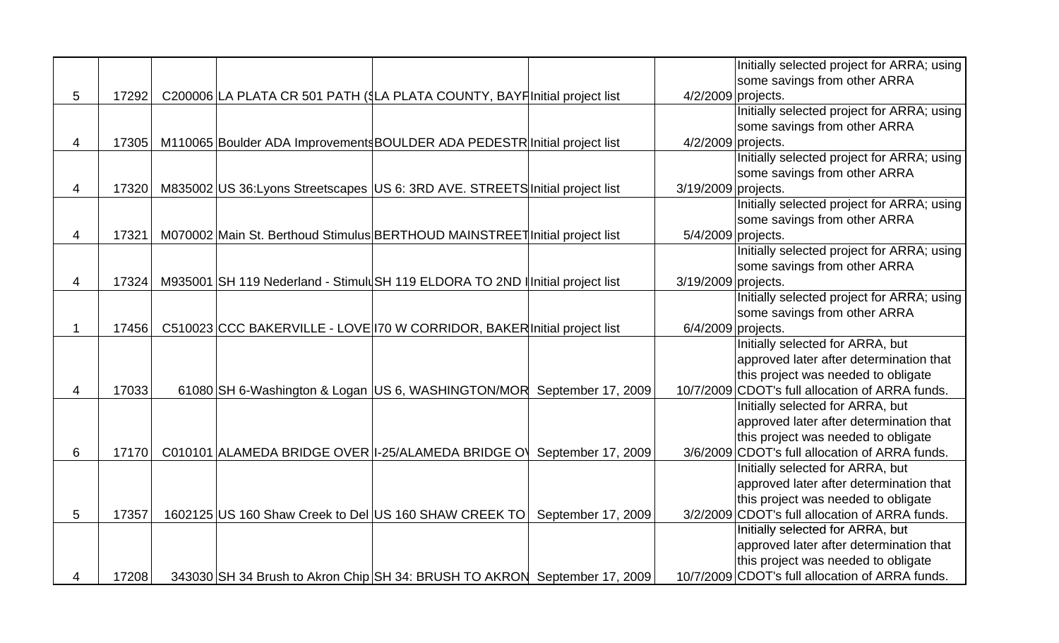|             |       |  |                                                                               |                      | Initially selected project for ARRA; using      |
|-------------|-------|--|-------------------------------------------------------------------------------|----------------------|-------------------------------------------------|
|             |       |  |                                                                               |                      | some savings from other ARRA                    |
| 5           | 17292 |  | C200006 LA PLATA CR 501 PATH (\$LA PLATA COUNTY, BAYF Initial project list    | 4/2/2009 projects.   |                                                 |
|             |       |  |                                                                               |                      | Initially selected project for ARRA; using      |
|             |       |  |                                                                               |                      | some savings from other ARRA                    |
| 4           | 17305 |  | M110065 Boulder ADA Improvements BOULDER ADA PEDESTR Initial project list     | 4/2/2009 projects.   |                                                 |
|             |       |  |                                                                               |                      | Initially selected project for ARRA; using      |
|             |       |  |                                                                               |                      | some savings from other ARRA                    |
| 4           | 17320 |  | M835002 US 36: Lyons Streetscapes US 6: 3RD AVE. STREETS Initial project list | 3/19/2009 projects.  |                                                 |
|             |       |  |                                                                               |                      | Initially selected project for ARRA; using      |
|             |       |  |                                                                               |                      | some savings from other ARRA                    |
| 4           | 17321 |  | M070002 Main St. Berthoud Stimulus BERTHOUD MAINSTREET Initial project list   | 5/4/2009 projects.   |                                                 |
|             |       |  |                                                                               |                      | Initially selected project for ARRA; using      |
|             |       |  |                                                                               |                      | some savings from other ARRA                    |
| 4           | 17324 |  | M935001 SH 119 Nederland - Stimuld SH 119 ELDORA TO 2ND Initial project list  | 3/19/2009 projects.  |                                                 |
|             |       |  |                                                                               |                      | Initially selected project for ARRA; using      |
|             |       |  |                                                                               |                      | some savings from other ARRA                    |
| $\mathbf 1$ | 17456 |  | C510023 CCC BAKERVILLE - LOVE 170 W CORRIDOR, BAKER Initial project list      | $6/4/2009$ projects. |                                                 |
|             |       |  |                                                                               |                      | Initially selected for ARRA, but                |
|             |       |  |                                                                               |                      | approved later after determination that         |
|             |       |  |                                                                               |                      | this project was needed to obligate             |
| 4           | 17033 |  | 61080 SH 6-Washington & Logan US 6, WASHINGTON/MOR September 17, 2009         |                      | 10/7/2009 CDOT's full allocation of ARRA funds. |
|             |       |  |                                                                               |                      | Initially selected for ARRA, but                |
|             |       |  |                                                                               |                      | approved later after determination that         |
|             |       |  |                                                                               |                      | this project was needed to obligate             |
| 6           | 17170 |  | C010101 ALAMEDA BRIDGE OVER I-25/ALAMEDA BRIDGE O<br>September 17, 2009       |                      | 3/6/2009 CDOT's full allocation of ARRA funds.  |
|             |       |  |                                                                               |                      | Initially selected for ARRA, but                |
|             |       |  |                                                                               |                      | approved later after determination that         |
|             |       |  |                                                                               |                      | this project was needed to obligate             |
| 5           | 17357 |  | 1602125 US 160 Shaw Creek to Del US 160 SHAW CREEK TO<br>September 17, 2009   |                      | 3/2/2009 CDOT's full allocation of ARRA funds.  |
|             |       |  |                                                                               |                      | Initially selected for ARRA, but                |
|             |       |  |                                                                               |                      | approved later after determination that         |
|             |       |  |                                                                               |                      | this project was needed to obligate             |
| 4           | 17208 |  | 343030 SH 34 Brush to Akron Chip SH 34: BRUSH TO AKRON September 17, 2009     |                      | 10/7/2009 CDOT's full allocation of ARRA funds. |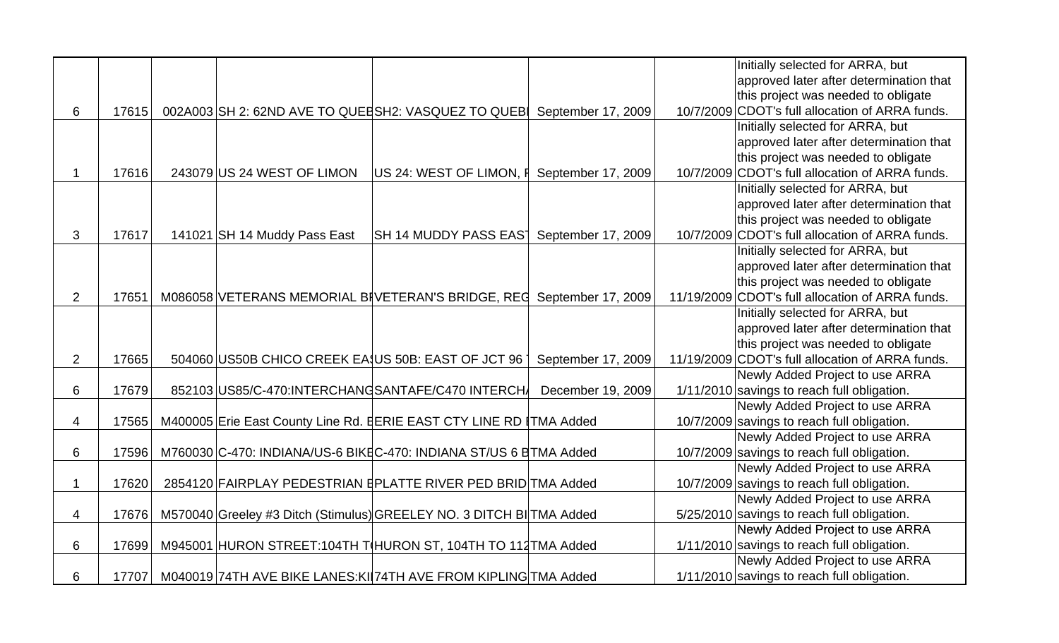|                |       |                                                    |                                                                      | Initially selected for ARRA, but                 |
|----------------|-------|----------------------------------------------------|----------------------------------------------------------------------|--------------------------------------------------|
|                |       |                                                    |                                                                      | approved later after determination that          |
|                |       |                                                    |                                                                      | this project was needed to obligate              |
| 6              | 17615 | 002A003 SH 2: 62ND AVE TO QUEESH2: VASQUEZ TO QUEB | September 17, 2009                                                   | 10/7/2009 CDOT's full allocation of ARRA funds.  |
|                |       |                                                    |                                                                      | Initially selected for ARRA, but                 |
|                |       |                                                    |                                                                      | approved later after determination that          |
|                |       |                                                    |                                                                      | this project was needed to obligate              |
| $\mathbf{1}$   | 17616 | 243079 US 24 WEST OF LIMON                         | US 24: WEST OF LIMON, F September 17, 2009                           | 10/7/2009 CDOT's full allocation of ARRA funds.  |
|                |       |                                                    |                                                                      | Initially selected for ARRA, but                 |
|                |       |                                                    |                                                                      | approved later after determination that          |
|                |       |                                                    |                                                                      | this project was needed to obligate              |
| 3              | 17617 | 141021 SH 14 Muddy Pass East                       | SH 14 MUDDY PASS EAS <sup>T</sup> September 17, 2009                 | 10/7/2009 CDOT's full allocation of ARRA funds.  |
|                |       |                                                    |                                                                      | Initially selected for ARRA, but                 |
|                |       |                                                    |                                                                      | approved later after determination that          |
|                |       |                                                    |                                                                      | this project was needed to obligate              |
| 2              | 17651 |                                                    | M086058 VETERANS MEMORIAL BIVETERAN'S BRIDGE, REC September 17, 2009 | 11/19/2009 CDOT's full allocation of ARRA funds. |
|                |       |                                                    |                                                                      | Initially selected for ARRA, but                 |
|                |       |                                                    |                                                                      | approved later after determination that          |
|                |       |                                                    |                                                                      | this project was needed to obligate              |
| $\overline{2}$ | 17665 | 504060 US50B CHICO CREEK EA US 50B: EAST OF JCT 96 | September 17, 2009                                                   | 11/19/2009 CDOT's full allocation of ARRA funds. |
|                |       |                                                    |                                                                      | Newly Added Project to use ARRA                  |
| 6              | 17679 | 852103 US85/C-470: INTERCHANG SANTAFE/C470 INTERCH | December 19, 2009                                                    | 1/11/2010 savings to reach full obligation.      |
|                |       |                                                    |                                                                      | Newly Added Project to use ARRA                  |
| 4              | 17565 |                                                    | M400005 Erie East County Line Rd. EERIE EAST CTY LINE RD   TMA Added | 10/7/2009 savings to reach full obligation.      |
|                |       |                                                    |                                                                      | Newly Added Project to use ARRA                  |
| 6              | 17596 |                                                    | M760030 C-470: INDIANA/US-6 BIKEC-470: INDIANA ST/US 6 ETMA Added    | 10/7/2009 savings to reach full obligation.      |
|                |       |                                                    |                                                                      | Newly Added Project to use ARRA                  |
| $\mathbf 1$    | 17620 |                                                    | 2854120 FAIRPLAY PEDESTRIAN EPLATTE RIVER PED BRID TMA Added         | 10/7/2009 savings to reach full obligation.      |
|                |       |                                                    |                                                                      | Newly Added Project to use ARRA                  |
| 4              | 17676 |                                                    | M570040 Greeley #3 Ditch (Stimulus) GREELEY NO. 3 DITCH BI TMA Added | 5/25/2010 savings to reach full obligation.      |
|                |       |                                                    |                                                                      | Newly Added Project to use ARRA                  |
| 6              | 17699 |                                                    | M945001 HURON STREET:104TH T HURON ST, 104TH TO 112 TMA Added        | 1/11/2010 savings to reach full obligation.      |
|                |       |                                                    |                                                                      | Newly Added Project to use ARRA                  |
| 6              | 17707 |                                                    | M040019 74TH AVE BIKE LANES: KI 74TH AVE FROM KIPLING TMA Added      | 1/11/2010 savings to reach full obligation.      |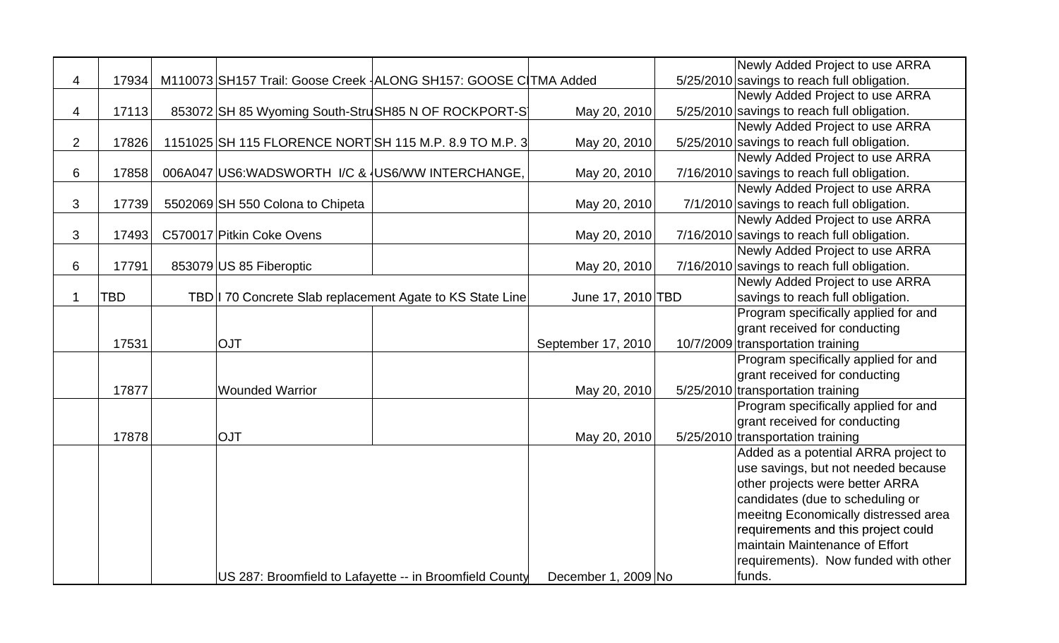|                |            |                                                                   |                                                         |                     | Newly Added Project to use ARRA             |
|----------------|------------|-------------------------------------------------------------------|---------------------------------------------------------|---------------------|---------------------------------------------|
| $\overline{4}$ | 17934      | M110073 SH157 Trail: Goose Creek - ALONG SH157: GOOSE C TMA Added |                                                         |                     | 5/25/2010 savings to reach full obligation. |
|                |            |                                                                   |                                                         |                     | Newly Added Project to use ARRA             |
| 4              | 17113      | 853072 SH 85 Wyoming South-StruSH85 N OF ROCKPORT-S               |                                                         | May 20, 2010        | 5/25/2010 savings to reach full obligation. |
|                |            |                                                                   |                                                         |                     | Newly Added Project to use ARRA             |
| $\overline{2}$ | 17826      | 1151025 SH 115 FLORENCE NORT SH 115 M.P. 8.9 TO M.P. 3            |                                                         | May 20, 2010        | 5/25/2010 savings to reach full obligation. |
|                |            |                                                                   |                                                         |                     | Newly Added Project to use ARRA             |
| 6              | 17858      | 006A047 US6: WADSWORTH I/C & US6/WW INTERCHANGE,                  |                                                         | May 20, 2010        | 7/16/2010 savings to reach full obligation. |
|                |            |                                                                   |                                                         |                     | Newly Added Project to use ARRA             |
| 3              | 17739      | 5502069 SH 550 Colona to Chipeta                                  |                                                         | May 20, 2010        | 7/1/2010 savings to reach full obligation.  |
|                |            |                                                                   |                                                         |                     | Newly Added Project to use ARRA             |
| $\mathfrak{S}$ | 17493      | C570017 Pitkin Coke Ovens                                         |                                                         | May 20, 2010        | 7/16/2010 savings to reach full obligation. |
|                |            |                                                                   |                                                         |                     | Newly Added Project to use ARRA             |
| 6              | 17791      | 853079 US 85 Fiberoptic                                           |                                                         | May 20, 2010        | 7/16/2010 savings to reach full obligation. |
|                |            |                                                                   |                                                         |                     | Newly Added Project to use ARRA             |
| $\mathbf{1}$   | <b>TBD</b> | TBD 170 Concrete Slab replacement Agate to KS State Line          |                                                         | June 17, 2010 TBD   | savings to reach full obligation.           |
|                |            |                                                                   |                                                         |                     | Program specifically applied for and        |
|                |            |                                                                   |                                                         |                     | grant received for conducting               |
|                | 17531      | <b>OJT</b>                                                        |                                                         | September 17, 2010  | 10/7/2009 transportation training           |
|                |            |                                                                   |                                                         |                     | Program specifically applied for and        |
|                |            |                                                                   |                                                         |                     | grant received for conducting               |
|                | 17877      | <b>Wounded Warrior</b>                                            |                                                         | May 20, 2010        | 5/25/2010 transportation training           |
|                |            |                                                                   |                                                         |                     | Program specifically applied for and        |
|                |            |                                                                   |                                                         |                     | grant received for conducting               |
|                | 17878      | <b>OJT</b>                                                        |                                                         | May 20, 2010        | 5/25/2010 transportation training           |
|                |            |                                                                   |                                                         |                     | Added as a potential ARRA project to        |
|                |            |                                                                   |                                                         |                     | use savings, but not needed because         |
|                |            |                                                                   |                                                         |                     | other projects were better ARRA             |
|                |            |                                                                   |                                                         |                     | candidates (due to scheduling or            |
|                |            |                                                                   |                                                         |                     | meeitng Economically distressed area        |
|                |            |                                                                   |                                                         |                     | requirements and this project could         |
|                |            |                                                                   |                                                         |                     | maintain Maintenance of Effort              |
|                |            |                                                                   |                                                         |                     | requirements). Now funded with other        |
|                |            |                                                                   | US 287: Broomfield to Lafayette -- in Broomfield County | December 1, 2009 No | funds.                                      |